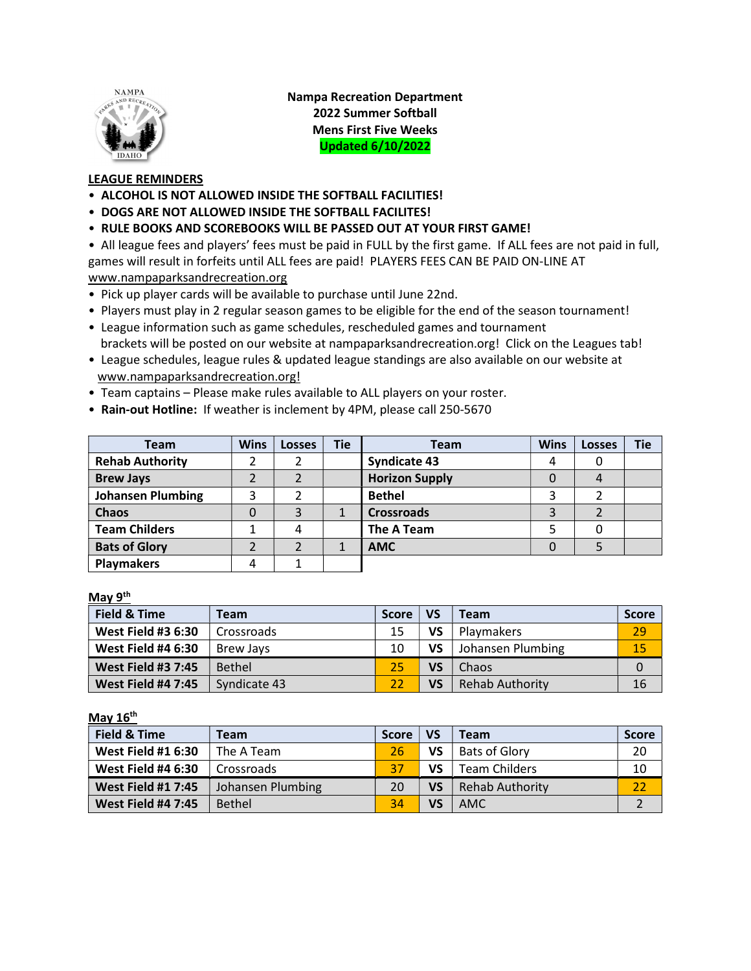

Nampa Recreation Department 2022 Summer Softball Mens First Five Weeks Updated 6/10/2022

## LEAGUE REMINDERS

- ALCOHOL IS NOT ALLOWED INSIDE THE SOFTBALL FACILITIES!
- DOGS ARE NOT ALLOWED INSIDE THE SOFTBALL FACILITES!
- RULE BOOKS AND SCOREBOOKS WILL BE PASSED OUT AT YOUR FIRST GAME!

• All league fees and players' fees must be paid in FULL by the first game. If ALL fees are not paid in full, games will result in forfeits until ALL fees are paid! PLAYERS FEES CAN BE PAID ON-LINE AT www.nampaparksandrecreation.org

- Pick up player cards will be available to purchase until June 22nd.
- Players must play in 2 regular season games to be eligible for the end of the season tournament!
- League information such as game schedules, rescheduled games and tournament brackets will be posted on our website at nampaparksandrecreation.org! Click on the Leagues tab!
- League schedules, league rules & updated league standings are also available on our website at www.nampaparksandrecreation.org!
- Team captains Please make rules available to ALL players on your roster.
- Rain-out Hotline: If weather is inclement by 4PM, please call 250-5670

| <b>Team</b>              | <b>Wins</b> | <b>Losses</b> | <b>Tie</b> | <b>Team</b>           | <b>Wins</b> | <b>Losses</b> | <b>Tie</b> |
|--------------------------|-------------|---------------|------------|-----------------------|-------------|---------------|------------|
| <b>Rehab Authority</b>   |             |               |            | <b>Syndicate 43</b>   | 4           |               |            |
| <b>Brew Jays</b>         |             |               |            | <b>Horizon Supply</b> |             |               |            |
| <b>Johansen Plumbing</b> | 3           |               |            | <b>Bethel</b>         |             |               |            |
| Chaos                    | 0           | 3             |            | <b>Crossroads</b>     | 3           |               |            |
| <b>Team Childers</b>     |             |               |            | The A Team            |             |               |            |
| <b>Bats of Glory</b>     |             |               |            | <b>AMC</b>            |             |               |            |
| <b>Playmakers</b>        | 4           |               |            |                       |             |               |            |

## May 9<sup>th</sup>

| <b>Field &amp; Time</b>   | Team          | <b>Score</b> | <b>VS</b> | <b>Team</b>            | <b>Score</b> |
|---------------------------|---------------|--------------|-----------|------------------------|--------------|
| <b>West Field #3 6:30</b> | Crossroads    | 15           | VS        | <b>Playmakers</b>      | 29           |
| <b>West Field #4 6:30</b> | Brew Javs     | 10           | VS        | Johansen Plumbing      | 15           |
| <b>West Field #3 7:45</b> | <b>Bethel</b> | 25           | VS        | Chaos                  | 0            |
| <b>West Field #4 7:45</b> | Syndicate 43  | 22           | VS        | <b>Rehab Authority</b> | 16           |

May 16<sup>th</sup>

| <b>Field &amp; Time</b>   | Team              | Score | <b>VS</b> | Team                   | Score |
|---------------------------|-------------------|-------|-----------|------------------------|-------|
| <b>West Field #1 6:30</b> | The A Team        | 26    | VS        | <b>Bats of Glory</b>   | 20    |
| <b>West Field #4 6:30</b> | Crossroads        | 37    | VS        | <b>Team Childers</b>   | 10    |
| <b>West Field #1 7:45</b> | Johansen Plumbing | 20    | VS        | <b>Rehab Authority</b> | 22    |
| <b>West Field #4 7:45</b> | <b>Bethel</b>     | 34    | VS        | <b>AMC</b>             |       |